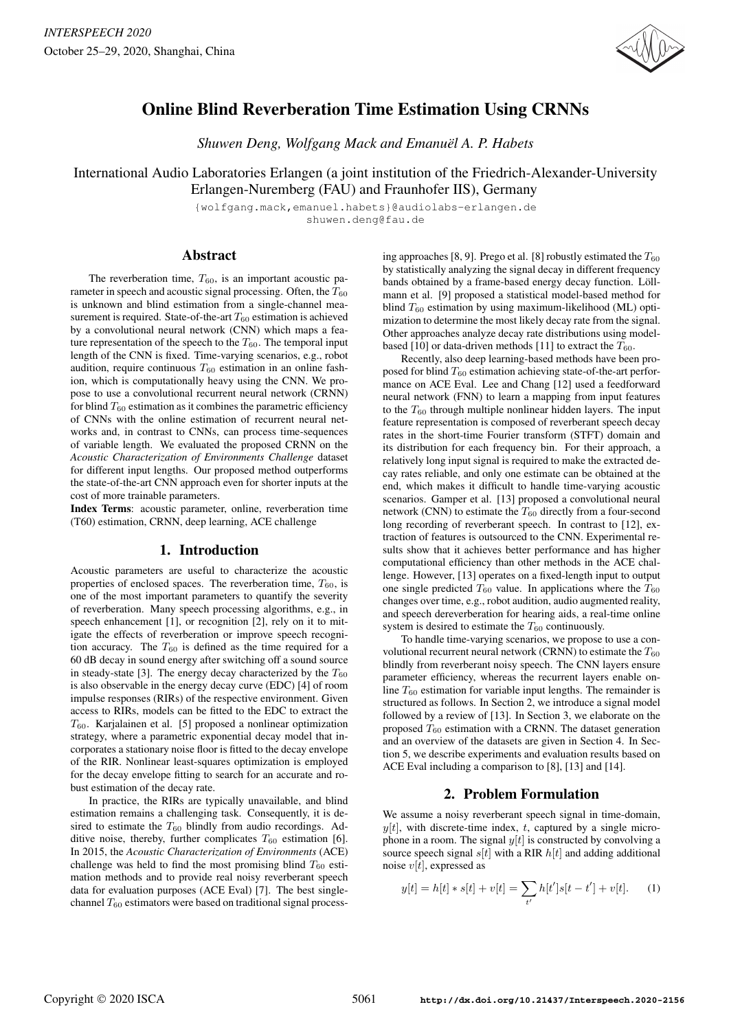

# Online Blind Reverberation Time Estimation Using CRNNs

*Shuwen Deng, Wolfgang Mack and Emanuël A. P. Habets*

International Audio Laboratories Erlangen (a joint institution of the Friedrich-Alexander-University Erlangen-Nuremberg (FAU) and Fraunhofer IIS), Germany

> {wolfgang.mack,emanuel.habets}@audiolabs-erlangen.de shuwen.deng@fau.de

# Abstract

The reverberation time,  $T_{60}$ , is an important acoustic parameter in speech and acoustic signal processing. Often, the  $T_{60}$ is unknown and blind estimation from a single-channel measurement is required. State-of-the-art  $T_{60}$  estimation is achieved by a convolutional neural network (CNN) which maps a feature representation of the speech to the  $T_{60}$ . The temporal input length of the CNN is fixed. Time-varying scenarios, e.g., robot audition, require continuous  $T_{60}$  estimation in an online fashion, which is computationally heavy using the CNN. We propose to use a convolutional recurrent neural network (CRNN) for blind  $T_{60}$  estimation as it combines the parametric efficiency of CNNs with the online estimation of recurrent neural networks and, in contrast to CNNs, can process time-sequences of variable length. We evaluated the proposed CRNN on the *Acoustic Characterization of Environments Challenge* dataset for different input lengths. Our proposed method outperforms the state-of-the-art CNN approach even for shorter inputs at the cost of more trainable parameters.

Index Terms: acoustic parameter, online, reverberation time (T60) estimation, CRNN, deep learning, ACE challenge

# 1. Introduction

Acoustic parameters are useful to characterize the acoustic properties of enclosed spaces. The reverberation time,  $T_{60}$ , is one of the most important parameters to quantify the severity of reverberation. Many speech processing algorithms, e.g., in speech enhancement [1], or recognition [2], rely on it to mitigate the effects of reverberation or improve speech recognition accuracy. The  $T_{60}$  is defined as the time required for a 60 dB decay in sound energy after switching off a sound source in steady-state [3]. The energy decay characterized by the  $T_{60}$ is also observable in the energy decay curve (EDC) [4] of room impulse responses (RIRs) of the respective environment. Given access to RIRs, models can be fitted to the EDC to extract the  $T_{60}$ . Karjalainen et al. [5] proposed a nonlinear optimization strategy, where a parametric exponential decay model that incorporates a stationary noise floor is fitted to the decay envelope of the RIR. Nonlinear least-squares optimization is employed for the decay envelope fitting to search for an accurate and robust estimation of the decay rate.

In practice, the RIRs are typically unavailable, and blind estimation remains a challenging task. Consequently, it is desired to estimate the  $T_{60}$  blindly from audio recordings. Additive noise, thereby, further complicates  $T_{60}$  estimation [6]. In 2015, the *Acoustic Characterization of Environments* (ACE) challenge was held to find the most promising blind  $T_{60}$  estimation methods and to provide real noisy reverberant speech data for evaluation purposes (ACE Eval) [7]. The best singlechannel  $T_{60}$  estimators were based on traditional signal process-

ing approaches [8, 9]. Prego et al. [8] robustly estimated the  $T_{60}$ by statistically analyzing the signal decay in different frequency bands obtained by a frame-based energy decay function. Löllmann et al. [9] proposed a statistical model-based method for blind  $T_{60}$  estimation by using maximum-likelihood (ML) optimization to determine the most likely decay rate from the signal. Other approaches analyze decay rate distributions using modelbased [10] or data-driven methods [11] to extract the  $T_{60}$ .

Recently, also deep learning-based methods have been proposed for blind  $T_{60}$  estimation achieving state-of-the-art performance on ACE Eval. Lee and Chang [12] used a feedforward neural network (FNN) to learn a mapping from input features to the  $T_{60}$  through multiple nonlinear hidden layers. The input feature representation is composed of reverberant speech decay rates in the short-time Fourier transform (STFT) domain and its distribution for each frequency bin. For their approach, a relatively long input signal is required to make the extracted decay rates reliable, and only one estimate can be obtained at the end, which makes it difficult to handle time-varying acoustic scenarios. Gamper et al. [13] proposed a convolutional neural network (CNN) to estimate the  $T_{60}$  directly from a four-second long recording of reverberant speech. In contrast to [12], extraction of features is outsourced to the CNN. Experimental results show that it achieves better performance and has higher computational efficiency than other methods in the ACE challenge. However, [13] operates on a fixed-length input to output one single predicted  $T_{60}$  value. In applications where the  $T_{60}$ changes over time, e.g., robot audition, audio augmented reality, and speech dereverberation for hearing aids, a real-time online system is desired to estimate the  $T_{60}$  continuously.

To handle time-varying scenarios, we propose to use a convolutional recurrent neural network (CRNN) to estimate the  $T_{60}$ blindly from reverberant noisy speech. The CNN layers ensure parameter efficiency, whereas the recurrent layers enable online  $T_{60}$  estimation for variable input lengths. The remainder is structured as follows. In Section 2, we introduce a signal model followed by a review of [13]. In Section 3, we elaborate on the proposed  $T_{60}$  estimation with a CRNN. The dataset generation and an overview of the datasets are given in Section 4. In Section 5, we describe experiments and evaluation results based on ACE Eval including a comparison to [8], [13] and [14].

# 2. Problem Formulation

We assume a noisy reverberant speech signal in time-domain,  $y[t]$ , with discrete-time index, t, captured by a single microphone in a room. The signal  $y[t]$  is constructed by convolving a source speech signal  $s[t]$  with a RIR  $h[t]$  and adding additional noise  $v[t]$ , expressed as

$$
y[t] = h[t] * s[t] + v[t] = \sum_{t'} h[t']s[t - t'] + v[t]. \tag{1}
$$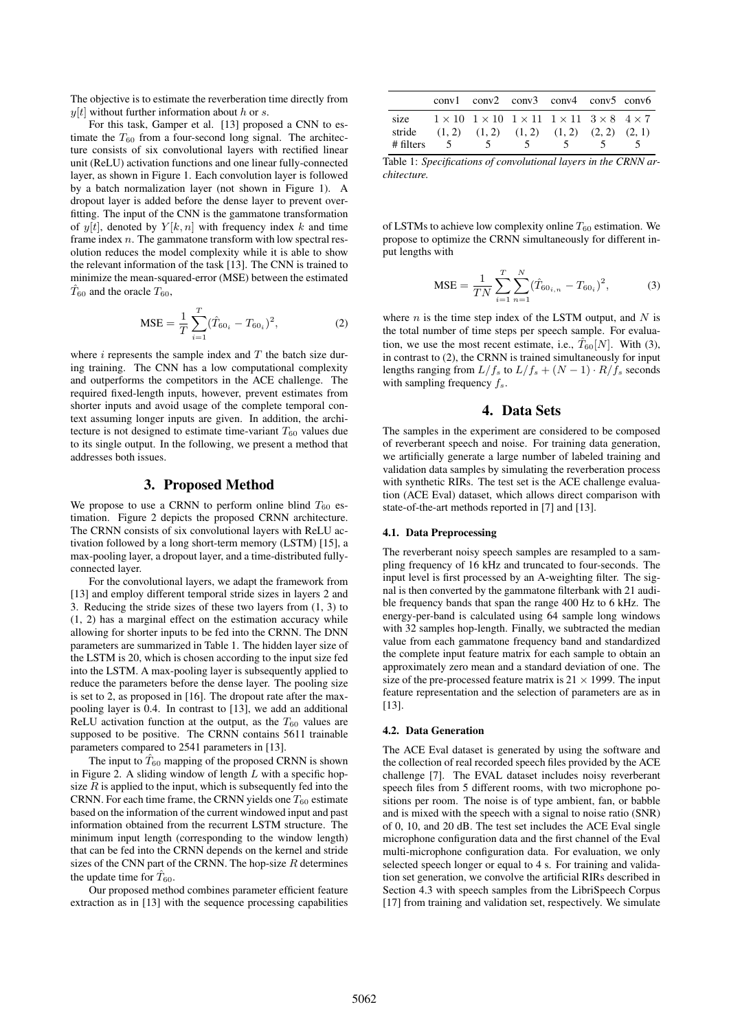The objective is to estimate the reverberation time directly from  $y[t]$  without further information about h or s.

For this task, Gamper et al. [13] proposed a CNN to estimate the  $T_{60}$  from a four-second long signal. The architecture consists of six convolutional layers with rectified linear unit (ReLU) activation functions and one linear fully-connected layer, as shown in Figure 1. Each convolution layer is followed by a batch normalization layer (not shown in Figure 1). A dropout layer is added before the dense layer to prevent overfitting. The input of the CNN is the gammatone transformation of  $y[t]$ , denoted by  $Y[k, n]$  with frequency index k and time frame index  $n$ . The gammatone transform with low spectral resolution reduces the model complexity while it is able to show the relevant information of the task [13]. The CNN is trained to minimize the mean-squared-error (MSE) between the estimated  $T_{60}$  and the oracle  $T_{60}$ ,

$$
\text{MSE} = \frac{1}{T} \sum_{i=1}^{T} (\hat{T}_{60_i} - T_{60_i})^2, \tag{2}
$$

where  $i$  represents the sample index and  $T$  the batch size during training. The CNN has a low computational complexity and outperforms the competitors in the ACE challenge. The required fixed-length inputs, however, prevent estimates from shorter inputs and avoid usage of the complete temporal context assuming longer inputs are given. In addition, the architecture is not designed to estimate time-variant  $T_{60}$  values due to its single output. In the following, we present a method that addresses both issues.

### 3. Proposed Method

We propose to use a CRNN to perform online blind  $T_{60}$  estimation. Figure 2 depicts the proposed CRNN architecture. The CRNN consists of six convolutional layers with ReLU activation followed by a long short-term memory (LSTM) [15], a max-pooling layer, a dropout layer, and a time-distributed fullyconnected layer.

For the convolutional layers, we adapt the framework from [13] and employ different temporal stride sizes in layers 2 and 3. Reducing the stride sizes of these two layers from (1, 3) to (1, 2) has a marginal effect on the estimation accuracy while allowing for shorter inputs to be fed into the CRNN. The DNN parameters are summarized in Table 1. The hidden layer size of the LSTM is 20, which is chosen according to the input size fed into the LSTM. A max-pooling layer is subsequently applied to reduce the parameters before the dense layer. The pooling size is set to 2, as proposed in [16]. The dropout rate after the maxpooling layer is 0.4. In contrast to [13], we add an additional ReLU activation function at the output, as the  $T_{60}$  values are supposed to be positive. The CRNN contains 5611 trainable parameters compared to 2541 parameters in [13].

The input to  $\hat{T}_{60}$  mapping of the proposed CRNN is shown in Figure 2. A sliding window of length  $L$  with a specific hopsize  $R$  is applied to the input, which is subsequently fed into the CRNN. For each time frame, the CRNN yields one  $T_{60}$  estimate based on the information of the current windowed input and past information obtained from the recurrent LSTM structure. The minimum input length (corresponding to the window length) that can be fed into the CRNN depends on the kernel and stride sizes of the CNN part of the CRNN. The hop-size  $R$  determines the update time for  $\hat{T}_{60}$ .

Our proposed method combines parameter efficient feature extraction as in [13] with the sequence processing capabilities

|                             |        |        | $conv1$ $conv2$ $conv3$ $conv4$ $conv5$ $conv6$                                                                                                      |        |  |
|-----------------------------|--------|--------|------------------------------------------------------------------------------------------------------------------------------------------------------|--------|--|
| size<br>stride<br># filters | $\sim$ | $\sim$ | $1 \times 10$ $1 \times 10$ $1 \times 11$ $1 \times 11$ $3 \times 8$ $4 \times 7$<br>$(1, 2)$ $(1, 2)$ $(1, 2)$ $(1, 2)$ $(2, 2)$ $(2, 1)$<br>$\sim$ | $\sim$ |  |

Table 1: *Specifications of convolutional layers in the CRNN architecture.*

of LSTMs to achieve low complexity online  $T_{60}$  estimation. We propose to optimize the CRNN simultaneously for different input lengths with

$$
\text{MSE} = \frac{1}{TN} \sum_{i=1}^{T} \sum_{n=1}^{N} (\hat{T}_{60_{i,n}} - T_{60_i})^2, \tag{3}
$$

where  $n$  is the time step index of the LSTM output, and  $N$  is the total number of time steps per speech sample. For evaluation, we use the most recent estimate, i.e.,  $\hat{T}_{60}[N]$ . With (3), in contrast to (2), the CRNN is trained simultaneously for input lengths ranging from  $L/f_s$  to  $L/f_s + (N-1) \cdot R/f_s$  seconds with sampling frequency  $f_s$ .

# 4. Data Sets

The samples in the experiment are considered to be composed of reverberant speech and noise. For training data generation, we artificially generate a large number of labeled training and validation data samples by simulating the reverberation process with synthetic RIRs. The test set is the ACE challenge evaluation (ACE Eval) dataset, which allows direct comparison with state-of-the-art methods reported in [7] and [13].

#### 4.1. Data Preprocessing

The reverberant noisy speech samples are resampled to a sampling frequency of 16 kHz and truncated to four-seconds. The input level is first processed by an A-weighting filter. The signal is then converted by the gammatone filterbank with 21 audible frequency bands that span the range 400 Hz to 6 kHz. The energy-per-band is calculated using 64 sample long windows with 32 samples hop-length. Finally, we subtracted the median value from each gammatone frequency band and standardized the complete input feature matrix for each sample to obtain an approximately zero mean and a standard deviation of one. The size of the pre-processed feature matrix is  $21 \times 1999$ . The input feature representation and the selection of parameters are as in [13].

#### 4.2. Data Generation

The ACE Eval dataset is generated by using the software and the collection of real recorded speech files provided by the ACE challenge [7]. The EVAL dataset includes noisy reverberant speech files from 5 different rooms, with two microphone positions per room. The noise is of type ambient, fan, or babble and is mixed with the speech with a signal to noise ratio (SNR) of 0, 10, and 20 dB. The test set includes the ACE Eval single microphone configuration data and the first channel of the Eval multi-microphone configuration data. For evaluation, we only selected speech longer or equal to 4 s. For training and validation set generation, we convolve the artificial RIRs described in Section 4.3 with speech samples from the LibriSpeech Corpus [17] from training and validation set, respectively. We simulate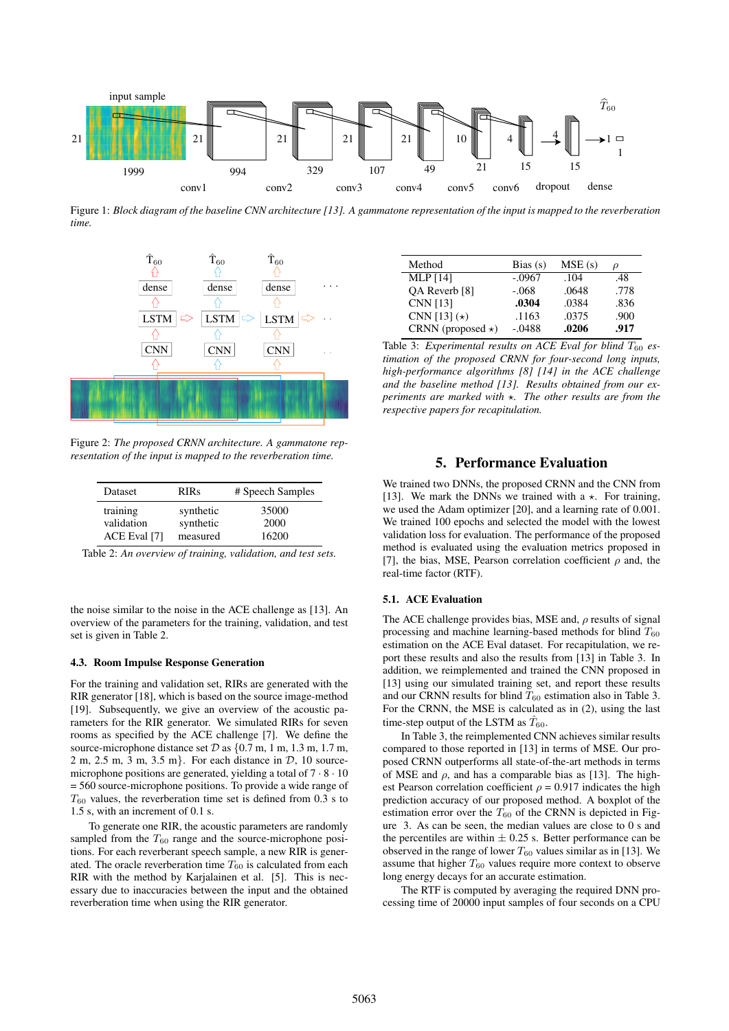

Figure 1: *Block diagram of the baseline CNN architecture [13]. A gammatone representation of the input is mapped to the reverberation time.*



Figure 2: *The proposed CRNN architecture. A gammatone representation of the input is mapped to the reverberation time.*

| Dataset      | <b>RIRs</b> | # Speech Samples |
|--------------|-------------|------------------|
| training     | synthetic   | 35000            |
| validation   | synthetic   | 2000             |
| ACE Eval [7] | measured    | 16200            |

Table 2: *An overview of training, validation, and test sets.*

the noise similar to the noise in the ACE challenge as [13]. An overview of the parameters for the training, validation, and test set is given in Table 2.

### 4.3. Room Impulse Response Generation

For the training and validation set, RIRs are generated with the RIR generator [18], which is based on the source image-method [19]. Subsequently, we give an overview of the acoustic parameters for the RIR generator. We simulated RIRs for seven rooms as specified by the ACE challenge [7]. We define the source-microphone distance set  $\mathcal D$  as  $\{0.7 \text{ m}, 1 \text{ m}, 1.3 \text{ m}, 1.7 \text{ m}, \ldots\}$ 2 m, 2.5 m, 3 m, 3.5 m}. For each distance in  $\mathcal{D}$ , 10 sourcemicrophone positions are generated, yielding a total of  $7 \cdot 8 \cdot 10$ = 560 source-microphone positions. To provide a wide range of  $T_{60}$  values, the reverberation time set is defined from 0.3 s to 1.5 s, with an increment of 0.1 s.

To generate one RIR, the acoustic parameters are randomly sampled from the  $T_{60}$  range and the source-microphone positions. For each reverberant speech sample, a new RIR is generated. The oracle reverberation time  $T_{60}$  is calculated from each RIR with the method by Karjalainen et al. [5]. This is necessary due to inaccuracies between the input and the obtained reverberation time when using the RIR generator.

| Method                   | Bias $(s)$ | MSE(s) | D    |
|--------------------------|------------|--------|------|
| <b>MLP</b> [14]          | $-.0967$   | .104   | .48  |
| OA Reverb [8]            | $-.068$    | .0648  | .778 |
| CNN [13]                 | .0304      | .0384  | .836 |
| CNN [13] $(*)$           | .1163      | .0375  | .900 |
| CRNN (proposed $\star$ ) | $-.0488$   | .0206  | .917 |

Table 3: *Experimental results on ACE Eval for blind*  $T_{60}$  *estimation of the proposed CRNN for four-second long inputs, high-performance algorithms [8] [14] in the ACE challenge and the baseline method [13]. Results obtained from our experiments are marked with* ?*. The other results are from the respective papers for recapitulation.*

# 5. Performance Evaluation

We trained two DNNs, the proposed CRNN and the CNN from [13]. We mark the DNNs we trained with a  $\star$ . For training, we used the Adam optimizer [20], and a learning rate of 0.001. We trained 100 epochs and selected the model with the lowest validation loss for evaluation. The performance of the proposed method is evaluated using the evaluation metrics proposed in [7], the bias, MSE, Pearson correlation coefficient  $\rho$  and, the real-time factor (RTF).

### 5.1. ACE Evaluation

The ACE challenge provides bias, MSE and,  $\rho$  results of signal processing and machine learning-based methods for blind  $T_{60}$ estimation on the ACE Eval dataset. For recapitulation, we report these results and also the results from [13] in Table 3. In addition, we reimplemented and trained the CNN proposed in [13] using our simulated training set, and report these results and our CRNN results for blind  $T_{60}$  estimation also in Table 3. For the CRNN, the MSE is calculated as in (2), using the last time-step output of the LSTM as  $\hat{T}_{60}$ .

In Table 3, the reimplemented CNN achieves similar results compared to those reported in [13] in terms of MSE. Our proposed CRNN outperforms all state-of-the-art methods in terms of MSE and  $\rho$ , and has a comparable bias as [13]. The highest Pearson correlation coefficient  $\rho = 0.917$  indicates the high prediction accuracy of our proposed method. A boxplot of the estimation error over the  $T_{60}$  of the CRNN is depicted in Figure 3. As can be seen, the median values are close to 0 s and the percentiles are within  $\pm$  0.25 s. Better performance can be observed in the range of lower  $T_{60}$  values similar as in [13]. We assume that higher  $T_{60}$  values require more context to observe long energy decays for an accurate estimation.

The RTF is computed by averaging the required DNN processing time of 20000 input samples of four seconds on a CPU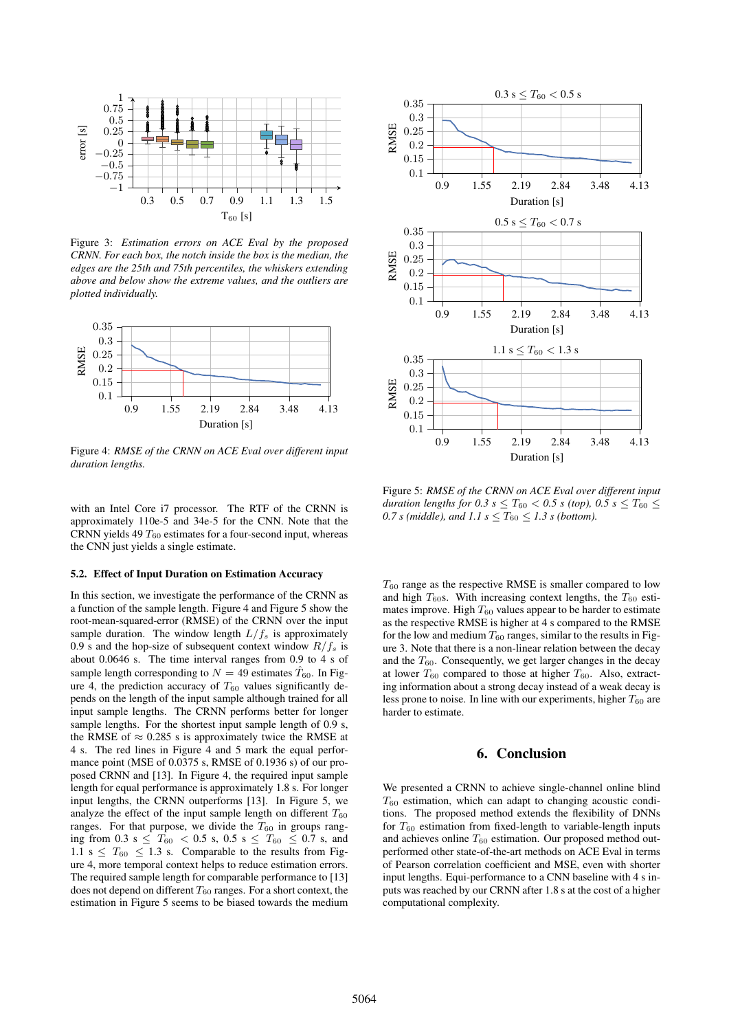

Figure 3: *Estimation errors on ACE Eval by the proposed CRNN. For each box, the notch inside the box is the median, the edges are the 25th and 75th percentiles, the whiskers extending above and below show the extreme values, and the outliers are plotted individually.*



Figure 4: *RMSE of the CRNN on ACE Eval over different input duration lengths.*

with an Intel Core i7 processor. The RTF of the CRNN is approximately 110e-5 and 34e-5 for the CNN. Note that the CRNN yields 49  $T_{60}$  estimates for a four-second input, whereas the CNN just yields a single estimate.

#### 5.2. Effect of Input Duration on Estimation Accuracy

In this section, we investigate the performance of the CRNN as a function of the sample length. Figure 4 and Figure 5 show the root-mean-squared-error (RMSE) of the CRNN over the input sample duration. The window length  $L/f_s$  is approximately 0.9 s and the hop-size of subsequent context window  $R/f_s$  is about 0.0646 s. The time interval ranges from 0.9 to 4 s of sample length corresponding to  $N = 49$  estimates  $\hat{T}_{60}$ . In Figure 4, the prediction accuracy of  $T_{60}$  values significantly depends on the length of the input sample although trained for all input sample lengths. The CRNN performs better for longer sample lengths. For the shortest input sample length of 0.9 s, the RMSE of  $\approx 0.285$  s is approximately twice the RMSE at 4 s. The red lines in Figure 4 and 5 mark the equal performance point (MSE of 0.0375 s, RMSE of 0.1936 s) of our proposed CRNN and [13]. In Figure 4, the required input sample length for equal performance is approximately 1.8 s. For longer input lengths, the CRNN outperforms [13]. In Figure 5, we analyze the effect of the input sample length on different  $T_{60}$ ranges. For that purpose, we divide the  $T_{60}$  in groups ranging from 0.3 s  $\leq T_{60} < 0.5$  s, 0.5 s  $\leq T_{60} \leq 0.7$  s, and 1.1 s  $\leq T_{60} \leq 1.3$  s. Comparable to the results from Figure 4, more temporal context helps to reduce estimation errors. The required sample length for comparable performance to [13] does not depend on different  $T_{60}$  ranges. For a short context, the estimation in Figure 5 seems to be biased towards the medium



Figure 5: *RMSE of the CRNN on ACE Eval over different input duration lengths for 0.3 s*  $\leq T_{60} < 0.5$  *s* (top), 0.5 s  $\leq T_{60} \leq$ *0.7 s (middle), and 1.1 s*  $\leq T_{60} \leq 1.3$  *s (bottom).* 

 $T_{60}$  range as the respective RMSE is smaller compared to low and high  $T_{60}$ s. With increasing context lengths, the  $T_{60}$  estimates improve. High  $T_{60}$  values appear to be harder to estimate as the respective RMSE is higher at 4 s compared to the RMSE for the low and medium  $T_{60}$  ranges, similar to the results in Figure 3. Note that there is a non-linear relation between the decay and the  $T_{60}$ . Consequently, we get larger changes in the decay at lower  $T_{60}$  compared to those at higher  $T_{60}$ . Also, extracting information about a strong decay instead of a weak decay is less prone to noise. In line with our experiments, higher  $T_{60}$  are harder to estimate.

### 6. Conclusion

We presented a CRNN to achieve single-channel online blind  $T_{60}$  estimation, which can adapt to changing acoustic conditions. The proposed method extends the flexibility of DNNs for  $T_{60}$  estimation from fixed-length to variable-length inputs and achieves online  $T_{60}$  estimation. Our proposed method outperformed other state-of-the-art methods on ACE Eval in terms of Pearson correlation coefficient and MSE, even with shorter input lengths. Equi-performance to a CNN baseline with 4 s inputs was reached by our CRNN after 1.8 s at the cost of a higher computational complexity.